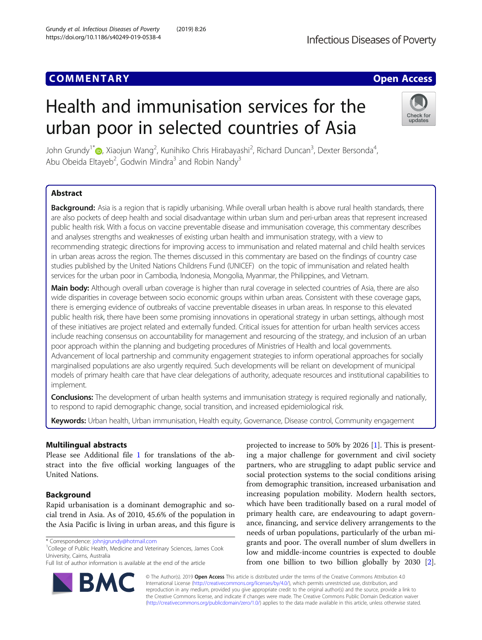# **COMMENTARY COMMENTARY COMMENTARY**

# Health and immunisation services for the urban poor in selected countries of Asia



John Grundy<sup>1\*</sup> (@, Xiaojun Wang<sup>2</sup>, Kunihiko Chris Hirabayashi<sup>2</sup>, Richard Duncan<sup>3</sup>, Dexter Bersonda<sup>4</sup> , Abu Obeida Eltayeb<sup>2</sup>, Godwin Mindra<sup>3</sup> and Robin Nandy<sup>3</sup>

# Abstract

Background: Asia is a region that is rapidly urbanising. While overall urban health is above rural health standards, there are also pockets of deep health and social disadvantage within urban slum and peri-urban areas that represent increased public health risk. With a focus on vaccine preventable disease and immunisation coverage, this commentary describes and analyses strengths and weaknesses of existing urban health and immunisation strategy, with a view to recommending strategic directions for improving access to immunisation and related maternal and child health services in urban areas across the region. The themes discussed in this commentary are based on the findings of country case studies published by the United Nations Childrens Fund (UNICEF) on the topic of immunisation and related health services for the urban poor in Cambodia, Indonesia, Mongolia, Myanmar, the Philippines, and Vietnam.

Main body: Although overall urban coverage is higher than rural coverage in selected countries of Asia, there are also wide disparities in coverage between socio economic groups within urban areas. Consistent with these coverage gaps, there is emerging evidence of outbreaks of vaccine preventable diseases in urban areas. In response to this elevated public health risk, there have been some promising innovations in operational strategy in urban settings, although most of these initiatives are project related and externally funded. Critical issues for attention for urban health services access include reaching consensus on accountability for management and resourcing of the strategy, and inclusion of an urban poor approach within the planning and budgeting procedures of Ministries of Health and local governments. Advancement of local partnership and community engagement strategies to inform operational approaches for socially marginalised populations are also urgently required. Such developments will be reliant on development of municipal models of primary health care that have clear delegations of authority, adequate resources and institutional capabilities to implement.

Conclusions: The development of urban health systems and immunisation strategy is required regionally and nationally, to respond to rapid demographic change, social transition, and increased epidemiological risk.

Keywords: Urban health, Urban immunisation, Health equity, Governance, Disease control, Community engagement

# Multilingual abstracts

Please see Additional file [1](#page-6-0) for translations of the abstract into the five official working languages of the United Nations.

# Background

Rapid urbanisation is a dominant demographic and social trend in Asia. As of 2010, 45.6% of the population in the Asia Pacific is living in urban areas, and this figure is

BA

 $1$ College of Public Health, Medicine and Veterinary Sciences, James Cook University, Cairns, Australia



© The Author(s). 2019 **Open Access** This article is distributed under the terms of the Creative Commons Attribution 4.0 International License [\(http://creativecommons.org/licenses/by/4.0/](http://creativecommons.org/licenses/by/4.0/)), which permits unrestricted use, distribution, and reproduction in any medium, provided you give appropriate credit to the original author(s) and the source, provide a link to the Creative Commons license, and indicate if changes were made. The Creative Commons Public Domain Dedication waiver [\(http://creativecommons.org/publicdomain/zero/1.0/](http://creativecommons.org/publicdomain/zero/1.0/)) applies to the data made available in this article, unless otherwise stated.

<sup>\*</sup> Correspondence: [johnjgrundy@hotmail.com](mailto:johnjgrundy@hotmail.com) <sup>1</sup>

Full list of author information is available at the end of the article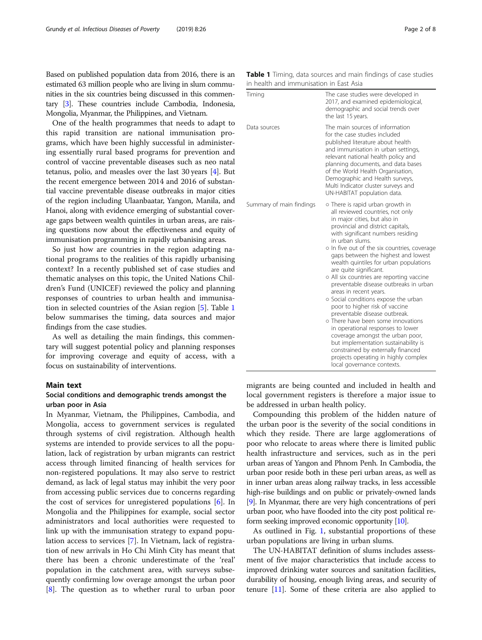Based on published population data from 2016, there is an estimated 63 million people who are living in slum communities in the six countries being discussed in this commentary [[3](#page-7-0)]. These countries include Cambodia, Indonesia, Mongolia, Myanmar, the Philippines, and Vietnam.

One of the health programmes that needs to adapt to this rapid transition are national immunisation programs, which have been highly successful in administering essentially rural based programs for prevention and control of vaccine preventable diseases such as neo natal tetanus, polio, and measles over the last 30 years [[4\]](#page-7-0). But the recent emergence between 2014 and 2016 of substantial vaccine preventable disease outbreaks in major cities of the region including Ulaanbaatar, Yangon, Manila, and Hanoi, along with evidence emerging of substantial coverage gaps between wealth quintiles in urban areas, are raising questions now about the effectiveness and equity of immunisation programming in rapidly urbanising areas.

So just how are countries in the region adapting national programs to the realities of this rapidly urbanising context? In a recently published set of case studies and thematic analyses on this topic, the United Nations Children's Fund (UNICEF) reviewed the policy and planning responses of countries to urban health and immunisation in selected countries of the Asian region [[5](#page-7-0)]. Table 1 below summarises the timing, data sources and major findings from the case studies.

As well as detailing the main findings, this commentary will suggest potential policy and planning responses for improving coverage and equity of access, with a focus on sustainability of interventions.

#### Main text

## Social conditions and demographic trends amongst the urban poor in Asia

In Myanmar, Vietnam, the Philippines, Cambodia, and Mongolia, access to government services is regulated through systems of civil registration. Although health systems are intended to provide services to all the population, lack of registration by urban migrants can restrict access through limited financing of health services for non-registered populations. It may also serve to restrict demand, as lack of legal status may inhibit the very poor from accessing public services due to concerns regarding the cost of services for unregistered populations [[6\]](#page-7-0). In Mongolia and the Philippines for example, social sector administrators and local authorities were requested to link up with the immunisation strategy to expand population access to services [[7\]](#page-7-0). In Vietnam, lack of registration of new arrivals in Ho Chi Minh City has meant that there has been a chronic underestimate of the 'real' population in the catchment area, with surveys subsequently confirming low overage amongst the urban poor [[8\]](#page-7-0). The question as to whether rural to urban poor Table 1 Timing, data sources and main findings of case studies in health and immunisation in East Asia

| Timing                   | The case studies were developed in<br>2017, and examined epidemiological,<br>demographic and social trends over<br>the last 15 years.                                                                                                                                                                                                                                                                                                                                                                                                                                                                                                                                                                                                                                                                                                                       |
|--------------------------|-------------------------------------------------------------------------------------------------------------------------------------------------------------------------------------------------------------------------------------------------------------------------------------------------------------------------------------------------------------------------------------------------------------------------------------------------------------------------------------------------------------------------------------------------------------------------------------------------------------------------------------------------------------------------------------------------------------------------------------------------------------------------------------------------------------------------------------------------------------|
| Data sources             | The main sources of information<br>for the case studies included<br>published literature about health<br>and immunisation in urban settings,<br>relevant national health policy and<br>planning documents, and data bases<br>of the World Health Organisation,<br>Demographic and Health surveys,<br>Multi Indicator cluster surveys and<br>UN-HABITAT population data.                                                                                                                                                                                                                                                                                                                                                                                                                                                                                     |
| Summary of main findings | o There is rapid urban growth in<br>all reviewed countries, not only<br>in major cities, but also in<br>provincial and district capitals,<br>with significant numbers residing<br>in urban slums.<br>o In five out of the six countries, coverage<br>gaps between the highest and lowest<br>wealth quintiles for urban populations<br>are quite significant.<br>o All six countries are reporting vaccine<br>preventable disease outbreaks in urban<br>areas in recent years.<br>o Social conditions expose the urban<br>poor to higher risk of vaccine<br>preventable disease outbreak.<br>o There have been some innovations<br>in operational responses to lower<br>coverage amongst the urban poor,<br>but implementation sustainability is<br>constrained by externally financed<br>projects operating in highly complex<br>local governance contexts. |

migrants are being counted and included in health and local government registers is therefore a major issue to be addressed in urban health policy.

Compounding this problem of the hidden nature of the urban poor is the severity of the social conditions in which they reside. There are large agglomerations of poor who relocate to areas where there is limited public health infrastructure and services, such as in the peri urban areas of Yangon and Phnom Penh. In Cambodia, the urban poor reside both in these peri urban areas, as well as in inner urban areas along railway tracks, in less accessible high-rise buildings and on public or privately-owned lands [[9](#page-7-0)]. In Myanmar, there are very high concentrations of peri urban poor, who have flooded into the city post political reform seeking improved economic opportunity [[10](#page-7-0)].

As outlined in Fig. [1](#page-2-0), substantial proportions of these urban populations are living in urban slums.

The UN-HABITAT definition of slums includes assessment of five major characteristics that include access to improved drinking water sources and sanitation facilities, durability of housing, enough living areas, and security of tenure [[11](#page-7-0)]. Some of these criteria are also applied to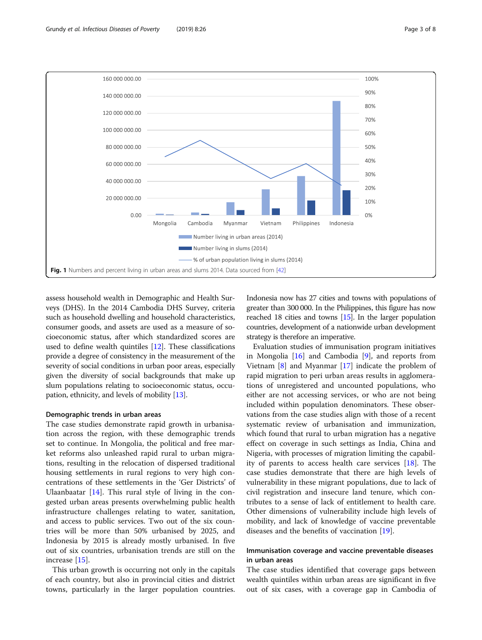<span id="page-2-0"></span>

assess household wealth in Demographic and Health Surveys (DHS). In the 2014 Cambodia DHS Survey, criteria such as household dwelling and household characteristics, consumer goods, and assets are used as a measure of socioeconomic status, after which standardized scores are used to define wealth quintiles [[12](#page-7-0)]. These classifications provide a degree of consistency in the measurement of the severity of social conditions in urban poor areas, especially given the diversity of social backgrounds that make up slum populations relating to socioeconomic status, occupation, ethnicity, and levels of mobility [[13\]](#page-7-0).

# Demographic trends in urban areas

The case studies demonstrate rapid growth in urbanisation across the region, with these demographic trends set to continue. In Mongolia, the political and free market reforms also unleashed rapid rural to urban migrations, resulting in the relocation of dispersed traditional housing settlements in rural regions to very high concentrations of these settlements in the 'Ger Districts' of Ulaanbaatar  $[14]$  $[14]$ . This rural style of living in the congested urban areas presents overwhelming public health infrastructure challenges relating to water, sanitation, and access to public services. Two out of the six countries will be more than 50% urbanised by 2025, and Indonesia by 2015 is already mostly urbanised. In five out of six countries, urbanisation trends are still on the increase [[15\]](#page-7-0).

This urban growth is occurring not only in the capitals of each country, but also in provincial cities and district towns, particularly in the larger population countries. Indonesia now has 27 cities and towns with populations of greater than 300 000. In the Philippines, this figure has now reached 18 cities and towns [\[15](#page-7-0)]. In the larger population countries, development of a nationwide urban development strategy is therefore an imperative.

Evaluation studies of immunisation program initiatives in Mongolia  $[16]$  and Cambodia  $[9]$  $[9]$  $[9]$ , and reports from Vietnam [[8](#page-7-0)] and Myanmar [\[17](#page-7-0)] indicate the problem of rapid migration to peri urban areas results in agglomerations of unregistered and uncounted populations, who either are not accessing services, or who are not being included within population denominators. These observations from the case studies align with those of a recent systematic review of urbanisation and immunization, which found that rural to urban migration has a negative effect on coverage in such settings as India, China and Nigeria, with processes of migration limiting the capability of parents to access health care services [\[18](#page-7-0)]. The case studies demonstrate that there are high levels of vulnerability in these migrant populations, due to lack of civil registration and insecure land tenure, which contributes to a sense of lack of entitlement to health care. Other dimensions of vulnerability include high levels of mobility, and lack of knowledge of vaccine preventable diseases and the benefits of vaccination [\[19](#page-7-0)].

# Immunisation coverage and vaccine preventable diseases in urban areas

The case studies identified that coverage gaps between wealth quintiles within urban areas are significant in five out of six cases, with a coverage gap in Cambodia of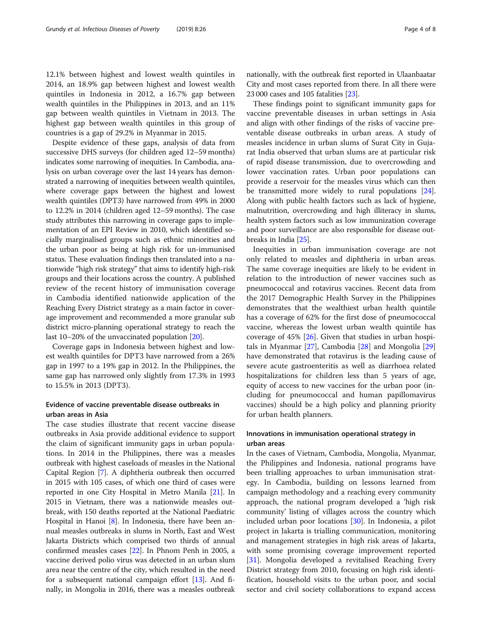12.1% between highest and lowest wealth quintiles in 2014, an 18.9% gap between highest and lowest wealth quintiles in Indonesia in 2012, a 16.7% gap between wealth quintiles in the Philippines in 2013, and an 11% gap between wealth quintiles in Vietnam in 2013. The highest gap between wealth quintiles in this group of countries is a gap of 29.2% in Myanmar in 2015.

Despite evidence of these gaps, analysis of data from successive DHS surveys (for children aged 12–59 months) indicates some narrowing of inequities. In Cambodia, analysis on urban coverage over the last 14 years has demonstrated a narrowing of inequities between wealth quintiles, where coverage gaps between the highest and lowest wealth quintiles (DPT3) have narrowed from 49% in 2000 to 12.2% in 2014 (children aged 12–59 months). The case study attributes this narrowing in coverage gaps to implementation of an EPI Review in 2010, which identified socially marginalised groups such as ethnic minorities and the urban poor as being at high risk for un-immunised status. These evaluation findings then translated into a nationwide "high risk strategy" that aims to identify high-risk groups and their locations across the country. A published review of the recent history of immunisation coverage in Cambodia identified nationwide application of the Reaching Every District strategy as a main factor in coverage improvement and recommended a more granular sub district micro-planning operational strategy to reach the last 10–20% of the unvaccinated population [\[20\]](#page-7-0).

Coverage gaps in Indonesia between highest and lowest wealth quintiles for DPT3 have narrowed from a 26% gap in 1997 to a 19% gap in 2012. In the Philippines, the same gap has narrowed only slightly from 17.3% in 1993 to 15.5% in 2013 (DPT3).

# Evidence of vaccine preventable disease outbreaks in urban areas in Asia

The case studies illustrate that recent vaccine disease outbreaks in Asia provide additional evidence to support the claim of significant immunity gaps in urban populations. In 2014 in the Philippines, there was a measles outbreak with highest caseloads of measles in the National Capital Region [[7\]](#page-7-0). A diphtheria outbreak then occurred in 2015 with 105 cases, of which one third of cases were reported in one City Hospital in Metro Manila [[21](#page-7-0)]. In 2015 in Vietnam, there was a nationwide measles outbreak, with 150 deaths reported at the National Paediatric Hospital in Hanoi [\[8](#page-7-0)]. In Indonesia, there have been annual measles outbreaks in slums in North, East and West Jakarta Districts which comprised two thirds of annual confirmed measles cases [[22\]](#page-7-0). In Phnom Penh in 2005, a vaccine derived polio virus was detected in an urban slum area near the centre of the city, which resulted in the need for a subsequent national campaign effort [\[13](#page-7-0)]. And finally, in Mongolia in 2016, there was a measles outbreak

nationally, with the outbreak first reported in Ulaanbaatar City and most cases reported from there. In all there were 23 000 cases and 105 fatalities [[23](#page-7-0)].

These findings point to significant immunity gaps for vaccine preventable diseases in urban settings in Asia and align with other findings of the risks of vaccine preventable disease outbreaks in urban areas. A study of measles incidence in urban slums of Surat City in Gujarat India observed that urban slums are at particular risk of rapid disease transmission, due to overcrowding and lower vaccination rates. Urban poor populations can provide a reservoir for the measles virus which can then be transmitted more widely to rural populations [[24](#page-7-0)]. Along with public health factors such as lack of hygiene, malnutrition, overcrowding and high illiteracy in slums, health system factors such as low immunization coverage and poor surveillance are also responsible for disease outbreaks in India [[25](#page-7-0)].

Inequities in urban immunisation coverage are not only related to measles and diphtheria in urban areas. The same coverage inequities are likely to be evident in relation to the introduction of newer vaccines such as pneumococcal and rotavirus vaccines. Recent data from the 2017 Demographic Health Survey in the Philippines demonstrates that the wealthiest urban health quintile has a coverage of 62% for the first dose of pneumococcal vaccine, whereas the lowest urban wealth quintile has coverage of 45% [[26\]](#page-7-0). Given that studies in urban hospitals in Myanmar [\[27\]](#page-7-0), Cambodia [[28](#page-7-0)] and Mongolia [[29](#page-7-0)] have demonstrated that rotavirus is the leading cause of severe acute gastroenteritis as well as diarrhoea related hospitalizations for children less than 5 years of age, equity of access to new vaccines for the urban poor (including for pneumococcal and human papillomavirus vaccines) should be a high policy and planning priority for urban health planners.

## Innovations in immunisation operational strategy in urban areas

In the cases of Vietnam, Cambodia, Mongolia, Myanmar, the Philippines and Indonesia, national programs have been trialling approaches to urban immunisation strategy. In Cambodia, building on lessons learned from campaign methodology and a reaching every community approach, the national program developed a 'high risk community' listing of villages across the country which included urban poor locations [\[30](#page-7-0)]. In Indonesia, a pilot project in Jakarta is trialling communication, monitoring and management strategies in high risk areas of Jakarta, with some promising coverage improvement reported [[31\]](#page-7-0). Mongolia developed a revitalised Reaching Every District strategy from 2010, focusing on high risk identification, household visits to the urban poor, and social sector and civil society collaborations to expand access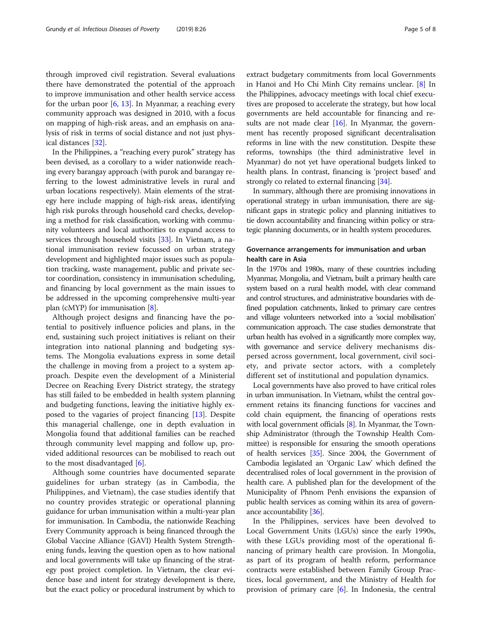through improved civil registration. Several evaluations there have demonstrated the potential of the approach to improve immunisation and other health service access for the urban poor  $[6, 13]$  $[6, 13]$  $[6, 13]$  $[6, 13]$ . In Myanmar, a reaching every community approach was designed in 2010, with a focus on mapping of high-risk areas, and an emphasis on analysis of risk in terms of social distance and not just physical distances [[32\]](#page-7-0).

In the Philippines, a "reaching every purok" strategy has been devised, as a corollary to a wider nationwide reaching every barangay approach (with purok and barangay referring to the lowest administrative levels in rural and urban locations respectively). Main elements of the strategy here include mapping of high-risk areas, identifying high risk puroks through household card checks, developing a method for risk classification, working with community volunteers and local authorities to expand access to services through household visits [[33](#page-7-0)]. In Vietnam, a national immunisation review focussed on urban strategy development and highlighted major issues such as population tracking, waste management, public and private sector coordination, consistency in immunisation scheduling, and financing by local government as the main issues to be addressed in the upcoming comprehensive multi-year plan (cMYP) for immunisation [\[8](#page-7-0)].

Although project designs and financing have the potential to positively influence policies and plans, in the end, sustaining such project initiatives is reliant on their integration into national planning and budgeting systems. The Mongolia evaluations express in some detail the challenge in moving from a project to a system approach. Despite even the development of a Ministerial Decree on Reaching Every District strategy, the strategy has still failed to be embedded in health system planning and budgeting functions, leaving the initiative highly exposed to the vagaries of project financing [[13](#page-7-0)]. Despite this managerial challenge, one in depth evaluation in Mongolia found that additional families can be reached through community level mapping and follow up, provided additional resources can be mobilised to reach out to the most disadvantaged [\[6](#page-7-0)].

Although some countries have documented separate guidelines for urban strategy (as in Cambodia, the Philippines, and Vietnam), the case studies identify that no country provides strategic or operational planning guidance for urban immunisation within a multi-year plan for immunisation. In Cambodia, the nationwide Reaching Every Community approach is being financed through the Global Vaccine Alliance (GAVI) Health System Strengthening funds, leaving the question open as to how national and local governments will take up financing of the strategy post project completion. In Vietnam, the clear evidence base and intent for strategy development is there, but the exact policy or procedural instrument by which to extract budgetary commitments from local Governments in Hanoi and Ho Chi Minh City remains unclear. [\[8](#page-7-0)] In the Philippines, advocacy meetings with local chief executives are proposed to accelerate the strategy, but how local governments are held accountable for financing and re-sults are not made clear [\[16\]](#page-7-0). In Myanmar, the government has recently proposed significant decentralisation reforms in line with the new constitution. Despite these reforms, townships (the third administrative level in Myanmar) do not yet have operational budgets linked to health plans. In contrast, financing is 'project based' and strongly co related to external financing [\[34](#page-7-0)].

In summary, although there are promising innovations in operational strategy in urban immunisation, there are significant gaps in strategic policy and planning initiatives to tie down accountability and financing within policy or strategic planning documents, or in health system procedures.

# Governance arrangements for immunisation and urban health care in Asia

In the 1970s and 1980s, many of these countries including Myanmar, Mongolia, and Vietnam, built a primary health care system based on a rural health model, with clear command and control structures, and administrative boundaries with defined population catchments, linked to primary care centres and village volunteers networked into a 'social mobilisation' communication approach. The case studies demonstrate that urban health has evolved in a significantly more complex way, with governance and service delivery mechanisms dispersed across government, local government, civil society, and private sector actors, with a completely different set of institutional and population dynamics.

Local governments have also proved to have critical roles in urban immunisation. In Vietnam, whilst the central government retains its financing functions for vaccines and cold chain equipment, the financing of operations rests with local government officials [\[8\]](#page-7-0). In Myanmar, the Township Administrator (through the Township Health Committee) is responsible for ensuring the smooth operations of health services [\[35](#page-7-0)]. Since 2004, the Government of Cambodia legislated an 'Organic Law' which defined the decentralised roles of local government in the provision of health care. A published plan for the development of the Municipality of Phnom Penh envisions the expansion of public health services as coming within its area of governance accountability [\[36](#page-7-0)].

In the Philippines, services have been devolved to Local Government Units (LGUs) since the early 1990s, with these LGUs providing most of the operational financing of primary health care provision. In Mongolia, as part of its program of health reform, performance contracts were established between Family Group Practices, local government, and the Ministry of Health for provision of primary care [[6\]](#page-7-0). In Indonesia, the central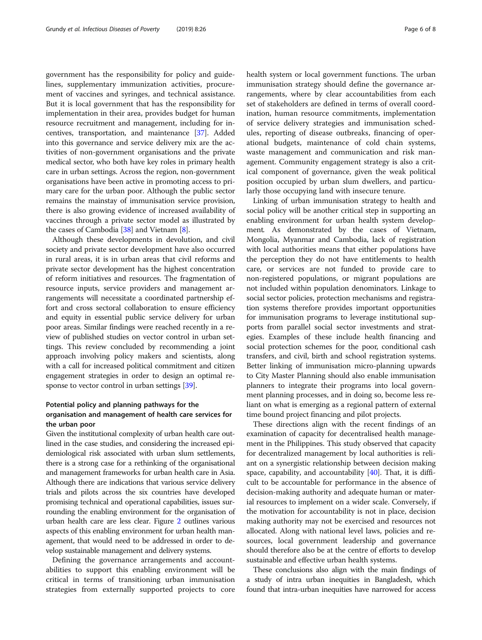government has the responsibility for policy and guidelines, supplementary immunization activities, procurement of vaccines and syringes, and technical assistance. But it is local government that has the responsibility for implementation in their area, provides budget for human resource recruitment and management, including for incentives, transportation, and maintenance [\[37\]](#page-7-0). Added into this governance and service delivery mix are the activities of non-government organisations and the private medical sector, who both have key roles in primary health care in urban settings. Across the region, non-government organisations have been active in promoting access to primary care for the urban poor. Although the public sector remains the mainstay of immunisation service provision, there is also growing evidence of increased availability of vaccines through a private sector model as illustrated by the cases of Cambodia [\[38\]](#page-7-0) and Vietnam [[8\]](#page-7-0).

Although these developments in devolution, and civil society and private sector development have also occurred in rural areas, it is in urban areas that civil reforms and private sector development has the highest concentration of reform initiatives and resources. The fragmentation of resource inputs, service providers and management arrangements will necessitate a coordinated partnership effort and cross sectoral collaboration to ensure efficiency and equity in essential public service delivery for urban poor areas. Similar findings were reached recently in a review of published studies on vector control in urban settings. This review concluded by recommending a joint approach involving policy makers and scientists, along with a call for increased political commitment and citizen engagement strategies in order to design an optimal re-sponse to vector control in urban settings [[39](#page-7-0)].

# Potential policy and planning pathways for the organisation and management of health care services for the urban poor

Given the institutional complexity of urban health care outlined in the case studies, and considering the increased epidemiological risk associated with urban slum settlements, there is a strong case for a rethinking of the organisational and management frameworks for urban health care in Asia. Although there are indications that various service delivery trials and pilots across the six countries have developed promising technical and operational capabilities, issues surrounding the enabling environment for the organisation of urban health care are less clear. Figure [2](#page-6-0) outlines various aspects of this enabling environment for urban health management, that would need to be addressed in order to develop sustainable management and delivery systems.

Defining the governance arrangements and accountabilities to support this enabling environment will be critical in terms of transitioning urban immunisation strategies from externally supported projects to core health system or local government functions. The urban immunisation strategy should define the governance arrangements, where by clear accountabilities from each set of stakeholders are defined in terms of overall coordination, human resource commitments, implementation of service delivery strategies and immunisation schedules, reporting of disease outbreaks, financing of operational budgets, maintenance of cold chain systems, waste management and communication and risk management. Community engagement strategy is also a critical component of governance, given the weak political position occupied by urban slum dwellers, and particularly those occupying land with insecure tenure.

Linking of urban immunisation strategy to health and social policy will be another critical step in supporting an enabling environment for urban health system development. As demonstrated by the cases of Vietnam, Mongolia, Myanmar and Cambodia, lack of registration with local authorities means that either populations have the perception they do not have entitlements to health care, or services are not funded to provide care to non-registered populations, or migrant populations are not included within population denominators. Linkage to social sector policies, protection mechanisms and registration systems therefore provides important opportunities for immunisation programs to leverage institutional supports from parallel social sector investments and strategies. Examples of these include health financing and social protection schemes for the poor, conditional cash transfers, and civil, birth and school registration systems. Better linking of immunisation micro-planning upwards to City Master Planning should also enable immunisation planners to integrate their programs into local government planning processes, and in doing so, become less reliant on what is emerging as a regional pattern of external time bound project financing and pilot projects.

These directions align with the recent findings of an examination of capacity for decentralised health management in the Philippines. This study observed that capacity for decentralized management by local authorities is reliant on a synergistic relationship between decision making space, capability, and accountability  $[40]$  $[40]$ . That, it is difficult to be accountable for performance in the absence of decision-making authority and adequate human or material resources to implement on a wider scale. Conversely, if the motivation for accountability is not in place, decision making authority may not be exercised and resources not allocated. Along with national level laws, policies and resources, local government leadership and governance should therefore also be at the centre of efforts to develop sustainable and effective urban health systems.

These conclusions also align with the main findings of a study of intra urban inequities in Bangladesh, which found that intra-urban inequities have narrowed for access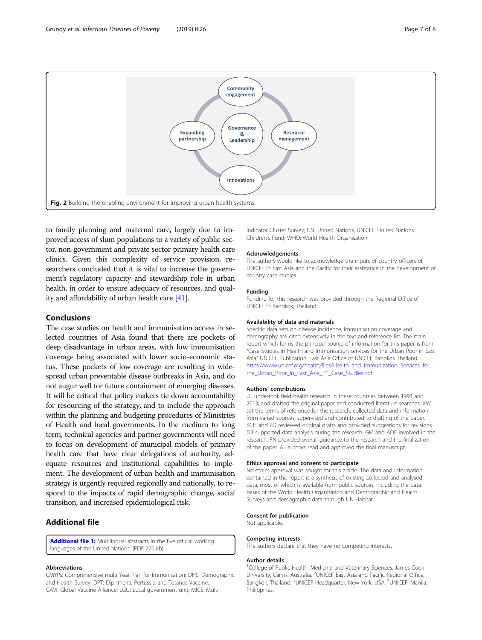<span id="page-6-0"></span>

to family planning and maternal care, largely due to improved access of slum populations to a variety of public sector, non-government and private sector primary health care clinics. Given this complexity of service provision, researchers concluded that it is vital to increase the government's regulatory capacity and stewardship role in urban health, in order to ensure adequacy of resources, and quality and affordability of urban health care [\[41\]](#page-7-0).

# Conclusions

The case studies on health and immunisation access in selected countries of Asia found that there are pockets of deep disadvantage in urban areas, with low immunisation coverage being associated with lower socio-economic status. These pockets of low coverage are resulting in widespread urban preventable disease outbreaks in Asia, and do not augur well for future containment of emerging diseases. It will be critical that policy makers tie down accountability for resourcing of the strategy, and to include the approach within the planning and budgeting procedures of Ministries of Health and local governments. In the medium to long term, technical agencies and partner governments will need to focus on development of municipal models of primary health care that have clear delegations of authority, adequate resources and institutional capabilities to implement. The development of urban health and immunisation strategy is urgently required regionally and nationally, to respond to the impacts of rapid demographic change, social transition, and increased epidemiological risk.

# Additional file

[Additional file 1:](https://doi.org/10.1186/s40249-019-0538-4) Multilingual abstracts in the five official working languages of the United Nations. (PDF 776 kb)

#### Abbreviations

CMYPs: Comprehensive multi Year Plan for Immunisation; DHS: Demographic and Health Survey; DPT: Diphtheria, Pertussis, and Tetanus Vaccine; GAVI: Global Vaccine Alliance; LGU: Local government unit; MICS: Multi

Indicator Cluster Survey; UN: United Nations; UNICEF: United Nations Children's Fund; WHO: World Health Organisation

#### Acknowledgements

The authors would like to acknowledge the inputs of country officers of UNICEF in East Asia and the Pacific for their assistance in the development of country case studies.

#### Funding

Funding for this research was provided through the Regional Office of UNICEF in Bangkok, Thailand.

#### Availability of data and materials

Specific data sets on disease incidence, immunisation coverage and demography are cited extensively in the text and reference list. The main report which forms the principal source of information for this paper is from "Case Studies in Health and Immunisation services for the Urban Poor in East Asia" UNICEF Publication. East Asia Office of UNICEF Bangkok Thailand. https://www.unicef.org/health/files/Health\_and\_Immunization\_Services\_for [the\\_Urban\\_Poor\\_in\\_East\\_Asia\\_P1\\_Case\\_Studies.pdf](https://www.unicef.org/health/files/Health_and_Immunization_Services_for_the_Urban_Poor_in_East_Asia_P1_Case_Studies.pdf).

#### Authors' contributions

JG undertook field health research in these countries between 1993 and 2013; and drafted the original paper and conducted literature searches. XW set the terms of reference for the research, collected data and information from varied sources, supervised and contributed to drafting of the paper. KCH and RD reviewed original drafts and provided suggestions for revisions. DB supported data analysis during the research. GM and AOE involved in the research. RN provided overall guidance to the research and the finalization of the paper. All authors read and approved the final manuscript.

#### Ethics approval and consent to participate

No ethics approval was sought for this article. The data and information contained in this report is a synthesis of existing collected and analysed data, most of which is available from public sources, including the data bases of the World Health Organisation and Demographic and Health Surveys and demographic data through UN Habitat.

#### Consent for publication

Not applicable.

#### Competing interests

The authors declare that they have no competing interests.

#### Author details

<sup>1</sup>College of Public Health, Medicine and Veterinary Sciences, James Cook University, Cairns, Australia. <sup>2</sup>UNICEF East Asia and Pacific Regional Office Bangkok, Thailand. <sup>3</sup>UNICEF Headquarter, New York, USA. <sup>4</sup>UNICEF, Manila, Philippines.